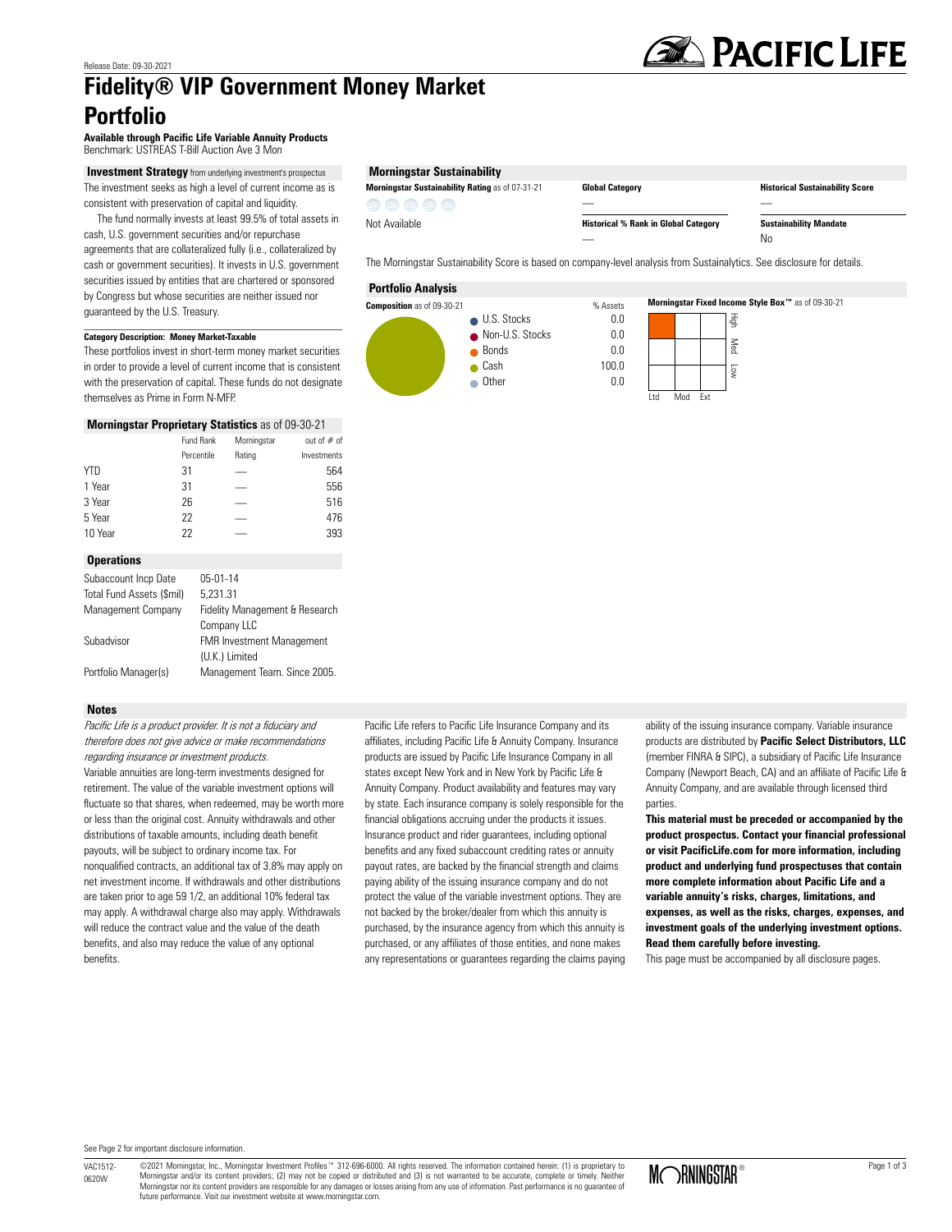# **Fidelity® VIP Government Money Market Portfolio**

**Available through Pacific Life Variable Annuity Products** Benchmark: USTREAS T-Bill Auction Ave 3 Mon

**Investment Strategy** from underlying investment's prospectus The investment seeks as high a level of current income as is consistent with preservation of capital and liquidity.

 The fund normally invests at least 99.5% of total assets in cash, U.S. government securities and/or repurchase agreements that are collateralized fully (i.e., collateralized by cash or government securities). It invests in U.S. government securities issued by entities that are chartered or sponsored by Congress but whose securities are neither issued nor guaranteed by the U.S. Treasury.

# **Category Description: Money Market-Taxable**

These portfolios invest in short-term money market securities in order to provide a level of current income that is consistent with the preservation of capital. These funds do not designate themselves as Prime in Form N-MFP.

### **Morningstar Proprietary Statistics** as of 09-30-21

|            | Fund Rank  | Morningstar | out of $#$ of |
|------------|------------|-------------|---------------|
|            | Percentile | Rating      | Investments   |
| <b>YTD</b> | 31         |             | 564           |
| 1 Year     | 31         |             | 556           |
| 3 Year     | 26         |             | 516           |
| 5 Year     | 22         |             | 476           |
| 10 Year    | 22         |             | 393           |
|            |            |             |               |

#### **Operations**

| Subaccount Incp Date      | $05-01-14$                       |
|---------------------------|----------------------------------|
| Total Fund Assets (\$mil) | 5.231.31                         |
| Management Company        | Fidelity Management & Research   |
|                           | Company LLC                      |
| Subadvisor                | <b>FMR Investment Management</b> |
|                           | (U.K.) Limited                   |
| Portfolio Manager(s)      | Management Team. Since 2005.     |

#### **Notes**

Pacific Life is a product provider. It is not a fiduciary and therefore does not give advice or make recommendations regarding insurance or investment products. Variable annuities are long-term investments designed for retirement. The value of the variable investment options will fluctuate so that shares, when redeemed, may be worth more or less than the original cost. Annuity withdrawals and other distributions of taxable amounts, including death benefit payouts, will be subject to ordinary income tax. For nonqualified contracts, an additional tax of 3.8% may apply on net investment income. If withdrawals and other distributions are taken prior to age 59 1/2, an additional 10% federal tax may apply. A withdrawal charge also may apply. Withdrawals will reduce the contract value and the value of the death benefits, and also may reduce the value of any optional benefits.

Pacific Life refers to Pacific Life Insurance Company and its affiliates, including Pacific Life & Annuity Company. Insurance products are issued by Pacific Life Insurance Company in all states except New York and in New York by Pacific Life & Annuity Company. Product availability and features may vary by state. Each insurance company is solely responsible for the financial obligations accruing under the products it issues. Insurance product and rider guarantees, including optional benefits and any fixed subaccount crediting rates or annuity payout rates, are backed by the financial strength and claims paying ability of the issuing insurance company and do not protect the value of the variable investment options. They are not backed by the broker/dealer from which this annuity is purchased, by the insurance agency from which this annuity is purchased, or any affiliates of those entities, and none makes any representations or guarantees regarding the claims paying ability of the issuing insurance company. Variable insurance products are distributed by **Pacific Select Distributors, LLC** (member FINRA & SIPC), a subsidiary of Pacific Life Insurance Company (Newport Beach, CA) and an affiliate of Pacific Life & Annuity Company, and are available through licensed third parties.

**This material must be preceded or accompanied by the product prospectus. Contact your financial professional or visit PacificLife.com for more information, including product and underlying fund prospectuses that contain more complete information about Pacific Life and a variable annuity's risks, charges, limitations, and expenses, as well as the risks, charges, expenses, and investment goals of the underlying investment options. Read them carefully before investing.**

This page must be accompanied by all disclosure pages.

**Morningstar Sustainability Rating** as of 07-31-21 **Global Category** . **Historical Sustainability Score** . **Historical % Rank in Global Category Sustainability Mandate**  $\overline{\phantom{a}}$  No

The Morningstar Sustainability Score is based on company-level analysis from Sustainalytics. See disclosure for details.

#### **Portfolio Analysis**

曲曲曲曲角

Not Available

**Morningstar Sustainability**



See Page 2 for important disclosure information.

VAC1512- 0620W ©2021 Morningstar, Inc., Morningstar Investment Profiles™ 312-696-6000. All rights reserved. The information contained herein: (1) is proprietary to Morningstar and/or its content providers; (2) may not be copied or distributed and (3) is not warranted to be accurate, complete or timely. Neither<br>Morningstar nor its content providers are responsible for any damages or l Morningstar nor its content providers are responsible for any damages or losses arising from any use of information. Past performance is no guarantee of<br>future performance. Visit our investment website at www.morningstar.c

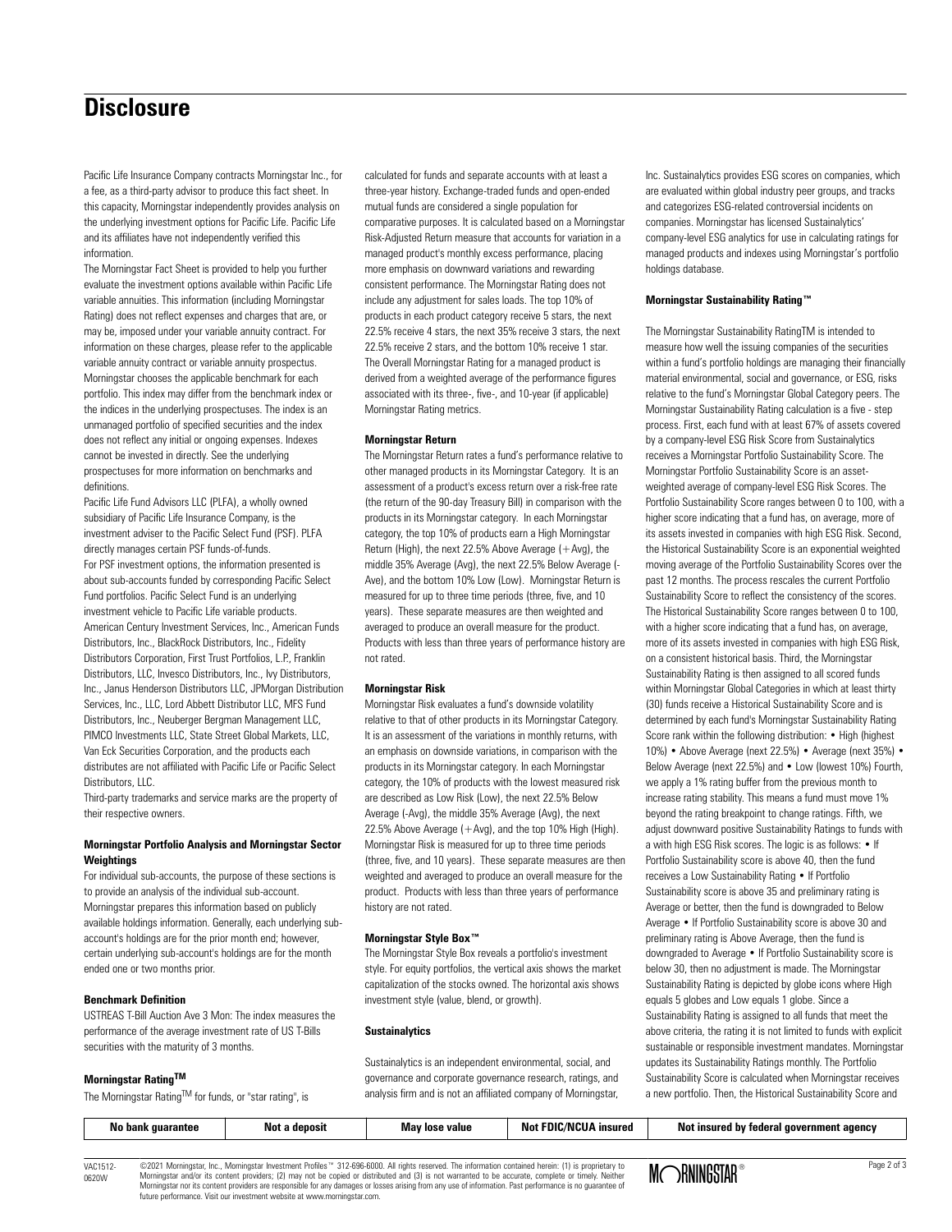# **Disclosure**

Pacific Life Insurance Company contracts Morningstar Inc., for a fee, as a third-party advisor to produce this fact sheet. In this capacity, Morningstar independently provides analysis on the underlying investment options for Pacific Life. Pacific Life and its affiliates have not independently verified this information.

The Morningstar Fact Sheet is provided to help you further evaluate the investment options available within Pacific Life variable annuities. This information (including Morningstar Rating) does not reflect expenses and charges that are, or may be, imposed under your variable annuity contract. For information on these charges, please refer to the applicable variable annuity contract or variable annuity prospectus. Morningstar chooses the applicable benchmark for each portfolio. This index may differ from the benchmark index or the indices in the underlying prospectuses. The index is an unmanaged portfolio of specified securities and the index does not reflect any initial or ongoing expenses. Indexes cannot be invested in directly. See the underlying prospectuses for more information on benchmarks and definitions.

Pacific Life Fund Advisors LLC (PLFA), a wholly owned subsidiary of Pacific Life Insurance Company, is the investment adviser to the Pacific Select Fund (PSF). PLFA directly manages certain PSF funds-of-funds. For PSF investment options, the information presented is about sub-accounts funded by corresponding Pacific Select Fund portfolios. Pacific Select Fund is an underlying investment vehicle to Pacific Life variable products. American Century Investment Services, Inc., American Funds Distributors, Inc., BlackRock Distributors, Inc., Fidelity Distributors Corporation, First Trust Portfolios, L.P., Franklin Distributors, LLC, Invesco Distributors, Inc., Ivy Distributors, Inc., Janus Henderson Distributors LLC, JPMorgan Distribution Services, Inc., LLC, Lord Abbett Distributor LLC, MFS Fund Distributors, Inc., Neuberger Bergman Management LLC, PIMCO Investments LLC, State Street Global Markets, LLC, Van Eck Securities Corporation, and the products each distributes are not affiliated with Pacific Life or Pacific Select Distributors, LLC.

Third-party trademarks and service marks are the property of their respective owners.

# **Morningstar Portfolio Analysis and Morningstar Sector Weightings**

For individual sub-accounts, the purpose of these sections is to provide an analysis of the individual sub-account. Morningstar prepares this information based on publicly available holdings information. Generally, each underlying subaccount's holdings are for the prior month end; however, certain underlying sub-account's holdings are for the month ended one or two months prior.

# **Benchmark Definition**

USTREAS T-Bill Auction Ave 3 Mon: The index measures the performance of the average investment rate of US T-Bills securities with the maturity of 3 months.

#### **Morningstar RatingTM**

The Morningstar Rating™ for funds, or "star rating", is

calculated for funds and separate accounts with at least a three-year history. Exchange-traded funds and open-ended mutual funds are considered a single population for comparative purposes. It is calculated based on a Morningstar Risk-Adjusted Return measure that accounts for variation in a managed product's monthly excess performance, placing more emphasis on downward variations and rewarding consistent performance. The Morningstar Rating does not include any adjustment for sales loads. The top 10% of products in each product category receive 5 stars, the next 22.5% receive 4 stars, the next 35% receive 3 stars, the next 22.5% receive 2 stars, and the bottom 10% receive 1 star. The Overall Morningstar Rating for a managed product is derived from a weighted average of the performance figures associated with its three-, five-, and 10-year (if applicable) Morningstar Rating metrics.

#### **Morningstar Return**

The Morningstar Return rates a fund's performance relative to other managed products in its Morningstar Category. It is an assessment of a product's excess return over a risk-free rate (the return of the 90-day Treasury Bill) in comparison with the products in its Morningstar category. In each Morningstar category, the top 10% of products earn a High Morningstar Return (High), the next 22.5% Above Average (+Avg), the middle 35% Average (Avg), the next 22.5% Below Average (- Ave), and the bottom 10% Low (Low). Morningstar Return is measured for up to three time periods (three, five, and 10 years). These separate measures are then weighted and averaged to produce an overall measure for the product. Products with less than three years of performance history are not rated.

#### **Morningstar Risk**

Morningstar Risk evaluates a fund's downside volatility relative to that of other products in its Morningstar Category. It is an assessment of the variations in monthly returns, with an emphasis on downside variations, in comparison with the products in its Morningstar category. In each Morningstar category, the 10% of products with the lowest measured risk are described as Low Risk (Low), the next 22.5% Below Average (-Avg), the middle 35% Average (Avg), the next 22.5% Above Average (+Avg), and the top 10% High (High). Morningstar Risk is measured for up to three time periods (three, five, and 10 years). These separate measures are then weighted and averaged to produce an overall measure for the product. Products with less than three years of performance history are not rated.

#### **Morningstar Style Box™**

The Morningstar Style Box reveals a portfolio's investment style. For equity portfolios, the vertical axis shows the market capitalization of the stocks owned. The horizontal axis shows investment style (value, blend, or growth).

#### **Sustainalytics**

Sustainalytics is an independent environmental, social, and governance and corporate governance research, ratings, and analysis firm and is not an affiliated company of Morningstar, Inc. Sustainalytics provides ESG scores on companies, which are evaluated within global industry peer groups, and tracks and categorizes ESG-related controversial incidents on companies. Morningstar has licensed Sustainalytics' company-level ESG analytics for use in calculating ratings for managed products and indexes using Morningstar's portfolio holdings database.

#### **Morningstar Sustainability Rating™**

The Morningstar Sustainability RatingTM is intended to measure how well the issuing companies of the securities within a fund's portfolio holdings are managing their financially material environmental, social and governance, or ESG, risks relative to the fund's Morningstar Global Category peers. The Morningstar Sustainability Rating calculation is a five - step process. First, each fund with at least 67% of assets covered by a company-level ESG Risk Score from Sustainalytics receives a Morningstar Portfolio Sustainability Score. The Morningstar Portfolio Sustainability Score is an assetweighted average of company-level ESG Risk Scores. The Portfolio Sustainability Score ranges between 0 to 100, with a higher score indicating that a fund has, on average, more of its assets invested in companies with high ESG Risk. Second, the Historical Sustainability Score is an exponential weighted moving average of the Portfolio Sustainability Scores over the past 12 months. The process rescales the current Portfolio Sustainability Score to reflect the consistency of the scores. The Historical Sustainability Score ranges between 0 to 100, with a higher score indicating that a fund has, on average, more of its assets invested in companies with high ESG Risk, on a consistent historical basis. Third, the Morningstar Sustainability Rating is then assigned to all scored funds within Morningstar Global Categories in which at least thirty (30) funds receive a Historical Sustainability Score and is determined by each fund's Morningstar Sustainability Rating Score rank within the following distribution: • High (highest 10%) • Above Average (next 22.5%) • Average (next 35%) • Below Average (next 22.5%) and • Low (lowest 10%) Fourth, we apply a 1% rating buffer from the previous month to increase rating stability. This means a fund must move 1% beyond the rating breakpoint to change ratings. Fifth, we adjust downward positive Sustainability Ratings to funds with a with high ESG Risk scores. The logic is as follows: • If Portfolio Sustainability score is above 40, then the fund receives a Low Sustainability Rating • If Portfolio Sustainability score is above 35 and preliminary rating is Average or better, then the fund is downgraded to Below Average • If Portfolio Sustainability score is above 30 and preliminary rating is Above Average, then the fund is downgraded to Average • If Portfolio Sustainability score is below 30, then no adjustment is made. The Morningstar Sustainability Rating is depicted by globe icons where High equals 5 globes and Low equals 1 globe. Since a Sustainability Rating is assigned to all funds that meet the above criteria, the rating it is not limited to funds with explicit sustainable or responsible investment mandates. Morningstar updates its Sustainability Ratings monthly. The Portfolio Sustainability Score is calculated when Morningstar receives a new portfolio. Then, the Historical Sustainability Score and

| No<br>auarantee :<br>' pank | Not<br>deposit | <sub>/</sub> lose value<br>Mav | <b>FDIC/NCUA</b><br>Not<br><b>Insured</b> | Not insured by federal government<br>. agencv |
|-----------------------------|----------------|--------------------------------|-------------------------------------------|-----------------------------------------------|
|                             |                |                                |                                           |                                               |

VAC1512- 0620W ©2021 Morningstar, Inc., Morningstar Investment Profiles™ 312-696-6000. All rights reserved. The information contained herein: (1) is proprietary to Morningstar and/or its content providers; (2) may not be copied or distributed and (3) is not warranted to be accurate, complete or timely. Neither<br>Morningstar nor its content providers are responsible for any damages or l future performance. Visit our investment website at www.morningstar.com.